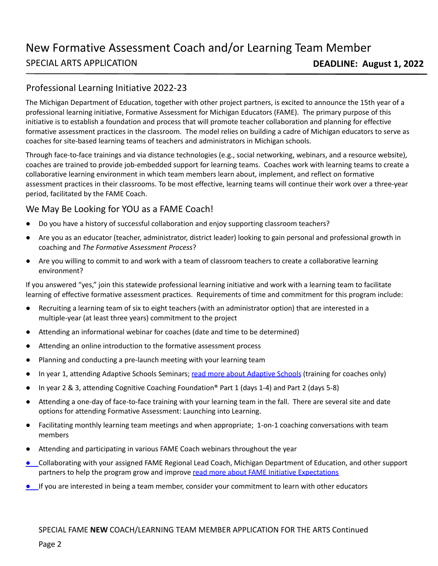## Professional Learning Initiative 2022-23

The Michigan Department of Education, together with other project partners, is excited to announce the 15th year of a professional learning initiative, Formative Assessment for Michigan Educators (FAME). The primary purpose of this initiative is to establish a foundation and process that will promote teacher collaboration and planning for effective formative assessment practices in the classroom. The model relies on building a cadre of Michigan educators to serve as coaches for site-based learning teams of teachers and administrators in Michigan schools.

Through face-to-face trainings and via distance technologies (e.g., social networking, webinars, and a resource website), coaches are trained to provide job-embedded support for learning teams. Coaches work with learning teams to create a collaborative learning environment in which team members learn about, implement, and reflect on formative assessment practices in their classrooms. To be most effective, learning teams will continue their work over a three-year period, facilitated by the FAME Coach.

## We May Be Looking for YOU as a FAME Coach!

- Do you have a history of successful collaboration and enjoy supporting classroom teachers?
- Are you as an educator (teacher, administrator, district leader) looking to gain personal and professional growth in coaching and *The Formative Assessment Process*?
- Are you willing to commit to and work with a team of classroom teachers to create a collaborative learning environment?

If you answered "yes," join this statewide professional learning initiative and work with a learning team to facilitate learning of effective formative assessment practices. Requirements of time and commitment for this program include:

- Recruiting a learning team of six to eight teachers (with an administrator option) that are interested in a multiple-year (at least three years) commitment to the project
- Attending an informational webinar for coaches (date and time to be determined)
- Attending an online introduction to the formative assessment process
- Planning and conducting a pre-launch meeting with your learning team
- In year 1, attending Adaptive Schools Seminars; [read more about Adaptive Schools](https://www.thinkingcollaborative.com/aboutas) (training for coaches only)
- In year 2 & 3, attending Cognitive Coaching Foundation® Part 1 (days 1-4) and Part 2 (days 5-8)
- Attending a one-day of face-to-face training with your learning team in the fall. There are several site and date options for attending Formative Assessment: Launching into Learning.
- Facilitating monthly learning team meetings and when appropriate; 1-on-1 coaching conversations with team members
- Attending and participating in various FAME Coach webinars throughout the year
- Collaborating with your assigned FAME Regional Lead Coach, Michigan Department of Education, and other support partners to help the program grow and improve [read more about FAME Initiative Expectations](https://www.michigan.gov/documents/mde/FAME_Team_Expectations-Revised_Feb_2020_682072_7.pdf)
- If you are interested in being a team member, consider your commitment to learn with other educators